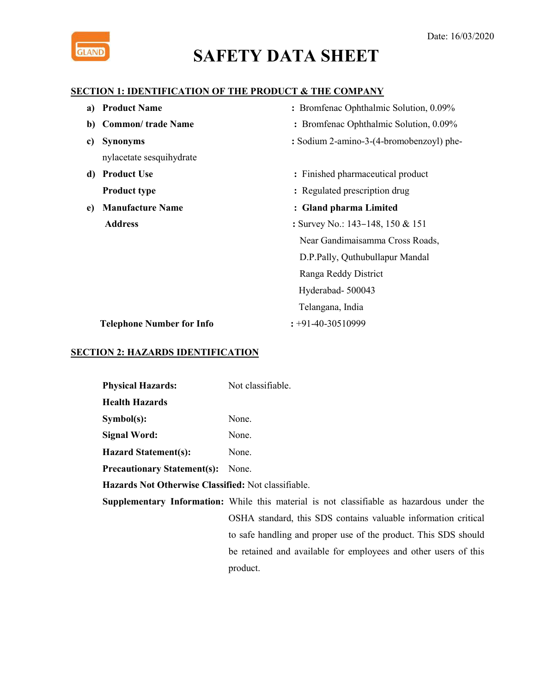

#### **SECTION 1: IDENTIFICATION OF THE PRODUCT & THE COMPANY**

| a) Product Name                  | : Bromfenac Ophthalmic Solution, 0.09%   |
|----------------------------------|------------------------------------------|
| b) Common/ trade Name            | : Bromfenac Ophthalmic Solution, 0.09%   |
| <b>Synonyms</b><br>c)            | : Sodium 2-amino-3-(4-bromobenzoyl) phe- |
| nylacetate sesquihydrate         |                                          |
| d) Product Use                   | : Finished pharmaceutical product        |
| <b>Product type</b>              | : Regulated prescription drug            |
| <b>Manufacture Name</b><br>e)    | : Gland pharma Limited                   |
| <b>Address</b>                   | : Survey No.: $143-148$ , $150 & 151$    |
|                                  | Near Gandimaisamma Cross Roads,          |
|                                  | D.P.Pally, Quthubullapur Mandal          |
|                                  | Ranga Reddy District                     |
|                                  | Hyderabad-500043                         |
|                                  | Telangana, India                         |
| <b>Telephone Number for Info</b> | $\div 91 - 40 - 30510999$                |

#### **SECTION 2: HAZARDS IDENTIFICATION**

| <b>Physical Hazards:</b>           | Not classifiable. |
|------------------------------------|-------------------|
| <b>Health Hazards</b>              |                   |
| Symbol(s):                         | None.             |
| <b>Signal Word:</b>                | None.             |
| <b>Hazard Statement(s):</b>        | None.             |
| <b>Precautionary Statement(s):</b> | None.             |
|                                    |                   |

**Hazards Not Otherwise Classified:** Not classifiable.

**Supplementary Information:** While this material is not classifiable as hazardous under the OSHA standard, this SDS contains valuable information critical to safe handling and proper use of the product. This SDS should be retained and available for employees and other users of this product.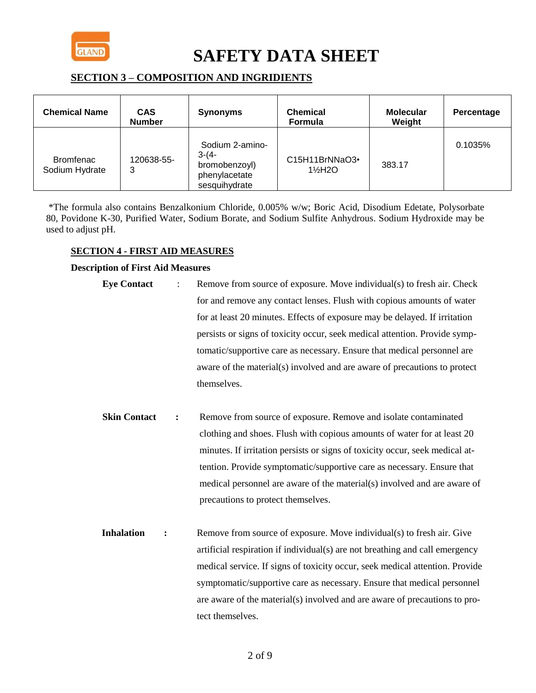

### **SECTION 3 – COMPOSITION AND INGRIDIENTS**

| <b>Chemical Name</b>               | <b>CAS</b><br><b>Number</b> | <b>Synonyms</b>                                                               | <b>Chemical</b><br>Formula | <b>Molecular</b><br>Weight | Percentage |
|------------------------------------|-----------------------------|-------------------------------------------------------------------------------|----------------------------|----------------------------|------------|
| <b>Bromfenac</b><br>Sodium Hydrate | 120638-55-<br>3             | Sodium 2-amino-<br>$3-(4-$<br>bromobenzoyl)<br>phenylacetate<br>sesquihydrate | C15H11BrNNaO3•<br>1½H2O    | 383.17                     | 0.1035%    |

\*The formula also contains Benzalkonium Chloride, 0.005% w/w; Boric Acid, Disodium Edetate, Polysorbate 80, Povidone K-30, Purified Water, Sodium Borate, and Sodium Sulfite Anhydrous. Sodium Hydroxide may be used to adjust pH.

#### **SECTION 4 - FIRST AID MEASURES**

#### **Description of First Aid Measures**

- **Eye Contact** : Remove from source of exposure. Move individual(s) to fresh air. Check for and remove any contact lenses. Flush with copious amounts of water for at least 20 minutes. Effects of exposure may be delayed. If irritation persists or signs of toxicity occur, seek medical attention. Provide symptomatic/supportive care as necessary. Ensure that medical personnel are aware of the material(s) involved and are aware of precautions to protect themselves.
- **Skin Contact :** Remove from source of exposure. Remove and isolate contaminated clothing and shoes. Flush with copious amounts of water for at least 20 minutes. If irritation persists or signs of toxicity occur, seek medical attention. Provide symptomatic/supportive care as necessary. Ensure that medical personnel are aware of the material(s) involved and are aware of precautions to protect themselves.
- **Inhalation :** Remove from source of exposure. Move individual(s) to fresh air. Give artificial respiration if individual(s) are not breathing and call emergency medical service. If signs of toxicity occur, seek medical attention. Provide symptomatic/supportive care as necessary. Ensure that medical personnel are aware of the material(s) involved and are aware of precautions to protect themselves.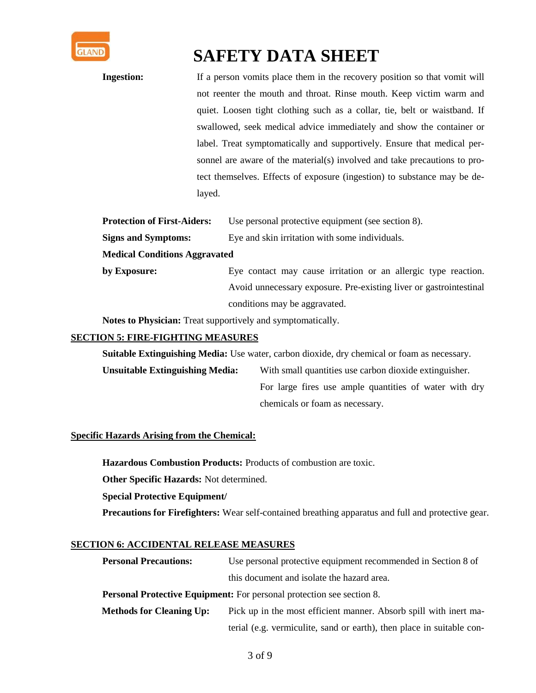

**Ingestion:** If a person vomits place them in the recovery position so that vomit will not reenter the mouth and throat. Rinse mouth. Keep victim warm and quiet. Loosen tight clothing such as a collar, tie, belt or waistband. If swallowed, seek medical advice immediately and show the container or label. Treat symptomatically and supportively. Ensure that medical personnel are aware of the material(s) involved and take precautions to protect themselves. Effects of exposure (ingestion) to substance may be delayed.

| <b>Protection of First-Aiders:</b> | Use personal protective equipment (see section 8). |
|------------------------------------|----------------------------------------------------|
| <b>Signs and Symptoms:</b>         | Eye and skin irritation with some individuals.     |

#### **Medical Conditions Aggravated**

**by Exposure:** Eye contact may cause irritation or an allergic type reaction. Avoid unnecessary exposure. Pre-existing liver or gastrointestinal conditions may be aggravated.

**Notes to Physician:** Treat supportively and symptomatically.

#### **SECTION 5: FIRE-FIGHTING MEASURES**

**Suitable Extinguishing Media:** Use water, carbon dioxide, dry chemical or foam as necessary.

**Unsuitable Extinguishing Media:** With small quantities use carbon dioxide extinguisher. For large fires use ample quantities of water with dry chemicals or foam as necessary.

#### **Specific Hazards Arising from the Chemical:**

**Hazardous Combustion Products:** Products of combustion are toxic.

**Other Specific Hazards:** Not determined.

**Special Protective Equipment/** 

**Precautions for Firefighters:** Wear self-contained breathing apparatus and full and protective gear.

#### **SECTION 6: ACCIDENTAL RELEASE MEASURES**

| <b>Personal Precautions:</b>                                                 | Use personal protective equipment recommended in Section 8 of     |  |  |
|------------------------------------------------------------------------------|-------------------------------------------------------------------|--|--|
|                                                                              | this document and isolate the hazard area.                        |  |  |
| <b>Personal Protective Equipment:</b> For personal protection see section 8. |                                                                   |  |  |
| <b>Methods for Cleaning Up:</b>                                              | Pick up in the most efficient manner. Absorb spill with inert ma- |  |  |
|                                                                              |                                                                   |  |  |

terial (e.g. vermiculite, sand or earth), then place in suitable con-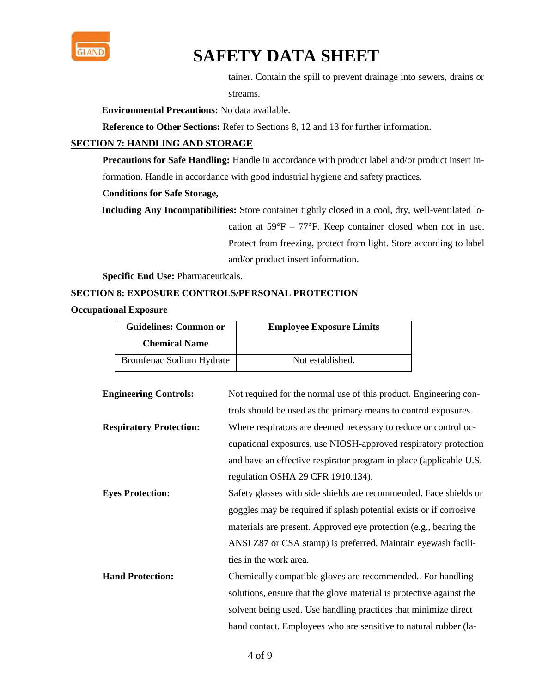

tainer. Contain the spill to prevent drainage into sewers, drains or

streams.

**Environmental Precautions:** No data available.

**Reference to Other Sections:** Refer to Sections 8, 12 and 13 for further information.

#### **SECTION 7: HANDLING AND STORAGE**

Precautions for Safe Handling: Handle in accordance with product label and/or product insert information. Handle in accordance with good industrial hygiene and safety practices.

#### **Conditions for Safe Storage,**

**Including Any Incompatibilities:** Store container tightly closed in a cool, dry, well-ventilated location at  $59^{\circ}F - 77^{\circ}F$ . Keep container closed when not in use. Protect from freezing, protect from light. Store according to label

and/or product insert information.

**Specific End Use:** Pharmaceuticals.

#### **SECTION 8: EXPOSURE CONTROLS/PERSONAL PROTECTION**

**Occupational Exposure**

| <b>Guidelines: Common or</b><br><b>Chemical Name</b> | <b>Employee Exposure Limits</b> |
|------------------------------------------------------|---------------------------------|
| Bromfenac Sodium Hydrate                             | Not established.                |

| <b>Engineering Controls:</b>   | Not required for the normal use of this product. Engineering con-   |
|--------------------------------|---------------------------------------------------------------------|
|                                | trols should be used as the primary means to control exposures.     |
| <b>Respiratory Protection:</b> | Where respirators are deemed necessary to reduce or control oc-     |
|                                | cupational exposures, use NIOSH-approved respiratory protection     |
|                                | and have an effective respirator program in place (applicable U.S.  |
|                                | regulation OSHA 29 CFR 1910.134).                                   |
| <b>Eyes Protection:</b>        | Safety glasses with side shields are recommended. Face shields or   |
|                                | goggles may be required if splash potential exists or if corrosive  |
|                                | materials are present. Approved eye protection (e.g., bearing the   |
|                                | ANSI Z87 or CSA stamp) is preferred. Maintain eyewash facili-       |
|                                | ties in the work area.                                              |
| <b>Hand Protection:</b>        | Chemically compatible gloves are recommended For handling           |
|                                | solutions, ensure that the glove material is protective against the |
|                                | solvent being used. Use handling practices that minimize direct     |
|                                | hand contact. Employees who are sensitive to natural rubber (la-    |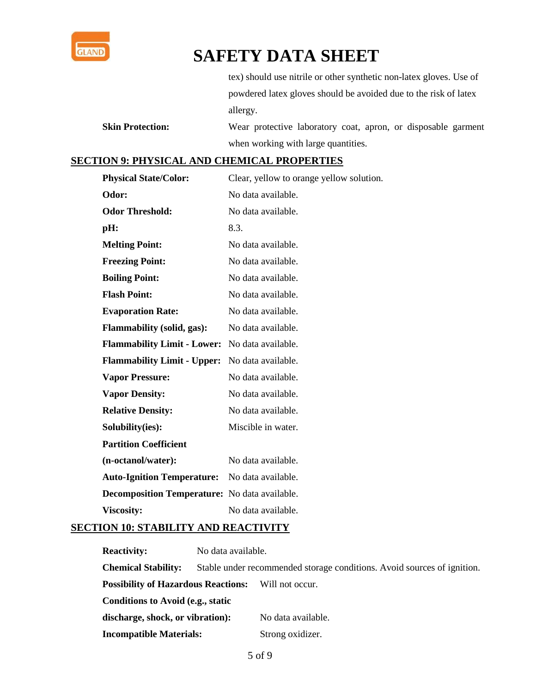

tex) should use nitrile or other synthetic non-latex gloves. Use of powdered latex gloves should be avoided due to the risk of latex allergy.

**Skin Protection:** Wear protective laboratory coat, apron, or disposable garment when working with large quantities.

### **SECTION 9: PHYSICAL AND CHEMICAL PROPERTIES**

| <b>Physical State/Color:</b>                         | Clear, yellow to orange yellow solution. |
|------------------------------------------------------|------------------------------------------|
| Odor:                                                | No data available.                       |
| <b>Odor Threshold:</b>                               | No data available.                       |
| pH:                                                  | 8.3.                                     |
| <b>Melting Point:</b>                                | No data available.                       |
| <b>Freezing Point:</b>                               | No data available.                       |
| <b>Boiling Point:</b>                                | No data available.                       |
| <b>Flash Point:</b>                                  | No data available.                       |
| <b>Evaporation Rate:</b>                             | No data available.                       |
| <b>Flammability (solid, gas):</b>                    | No data available.                       |
| <b>Flammability Limit - Lower:</b>                   | No data available.                       |
| <b>Flammability Limit - Upper:</b>                   | No data available.                       |
| <b>Vapor Pressure:</b>                               | No data available.                       |
| <b>Vapor Density:</b>                                | No data available.                       |
| <b>Relative Density:</b>                             | No data available.                       |
| Solubility(ies):                                     | Miscible in water.                       |
| <b>Partition Coefficient</b>                         |                                          |
| (n-octanol/water):                                   | No data available.                       |
| <b>Auto-Ignition Temperature:</b>                    | No data available.                       |
| <b>Decomposition Temperature:</b> No data available. |                                          |
| <b>Viscosity:</b>                                    | No data available.                       |

#### **SECTION 10: STABILITY AND REACTIVITY**

**Reactivity:** No data available. **Chemical Stability:** Stable under recommended storage conditions. Avoid sources of ignition. **Possibility of Hazardous Reactions:** Will not occur. **Conditions to Avoid (e.g., static**  discharge, shock, or vibration): No data available. **Incompatible Materials:** Strong oxidizer.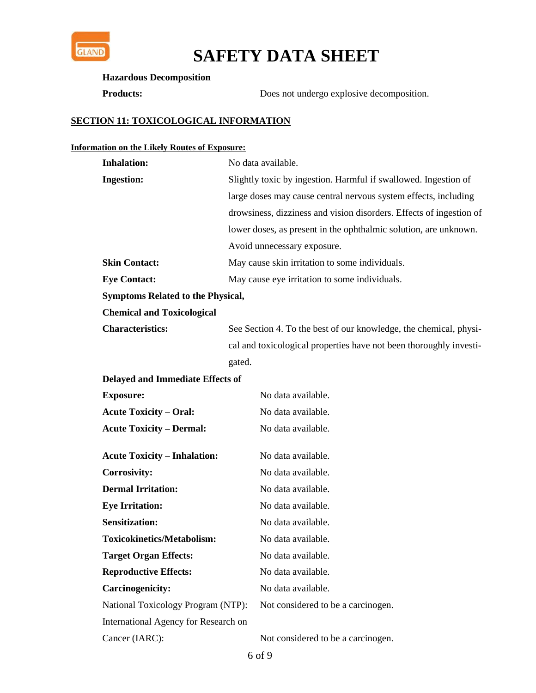

#### **Hazardous Decomposition**

**Products:** Does not undergo explosive decomposition.

### **SECTION 11: TOXICOLOGICAL INFORMATION**

### **Information on the Likely Routes of Exposure:**

| <b>Inhalation:</b>                       | No data available.                                                  |  |  |
|------------------------------------------|---------------------------------------------------------------------|--|--|
| <b>Ingestion:</b>                        | Slightly toxic by ingestion. Harmful if swallowed. Ingestion of     |  |  |
|                                          | large doses may cause central nervous system effects, including     |  |  |
|                                          | drowsiness, dizziness and vision disorders. Effects of ingestion of |  |  |
|                                          | lower doses, as present in the ophthalmic solution, are unknown.    |  |  |
|                                          | Avoid unnecessary exposure.                                         |  |  |
| <b>Skin Contact:</b>                     | May cause skin irritation to some individuals.                      |  |  |
| <b>Eye Contact:</b>                      | May cause eye irritation to some individuals.                       |  |  |
| <b>Symptoms Related to the Physical,</b> |                                                                     |  |  |
| <b>Chemical and Toxicological</b>        |                                                                     |  |  |
| <b>Characteristics:</b>                  | See Section 4. To the best of our knowledge, the chemical, physi-   |  |  |
|                                          | cal and toxicological properties have not been thoroughly investi-  |  |  |
|                                          | gated.                                                              |  |  |
| <b>Delayed and Immediate Effects of</b>  |                                                                     |  |  |
| <b>Exposure:</b>                         | No data available.                                                  |  |  |
| <b>Acute Toxicity – Oral:</b>            | No data available.                                                  |  |  |
| <b>Acute Toxicity – Dermal:</b>          | No data available.                                                  |  |  |
|                                          |                                                                     |  |  |
| <b>Acute Toxicity - Inhalation:</b>      | No data available.                                                  |  |  |
| <b>Corrosivity:</b>                      | No data available.                                                  |  |  |
| <b>Dermal Irritation:</b>                | No data available.                                                  |  |  |
| <b>Eye Irritation:</b>                   | No data available.                                                  |  |  |
| <b>Sensitization:</b>                    | No data available.                                                  |  |  |
| <b>Toxicokinetics/Metabolism:</b>        | No data available.                                                  |  |  |
| <b>Target Organ Effects:</b>             | No data available.                                                  |  |  |
| <b>Reproductive Effects:</b>             | No data available.                                                  |  |  |
| <b>Carcinogenicity:</b>                  | No data available.                                                  |  |  |
| National Toxicology Program (NTP):       | Not considered to be a carcinogen.                                  |  |  |
| International Agency for Research on     |                                                                     |  |  |
| Cancer (IARC):                           | Not considered to be a carcinogen.                                  |  |  |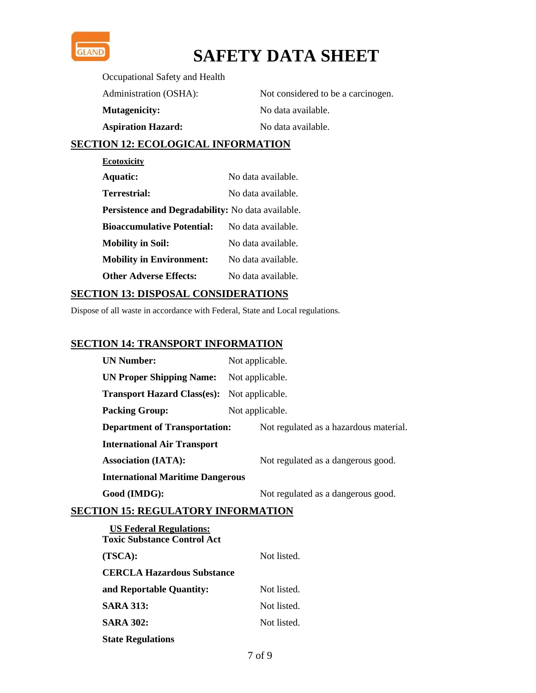

Occupational Safety and Health

| Administration (OSHA):    | Not considered to be a carcinogen. |
|---------------------------|------------------------------------|
| <b>Mutagenicity:</b>      | No data available.                 |
| <b>Aspiration Hazard:</b> | No data available.                 |

### **SECTION 12: ECOLOGICAL INFORMATION**

| <b>Ecotoxicity</b>                                |                    |  |  |
|---------------------------------------------------|--------------------|--|--|
| <b>Aquatic:</b>                                   | No data available. |  |  |
| Terrestrial:                                      | No data available  |  |  |
| Persistence and Degradability: No data available. |                    |  |  |
| <b>Bioaccumulative Potential:</b>                 | No data available. |  |  |
| <b>Mobility in Soil:</b>                          | No data available. |  |  |
| <b>Mobility in Environment:</b>                   | No data available. |  |  |
| <b>Other Adverse Effects:</b>                     | No data available. |  |  |

### **SECTION 13: DISPOSAL CONSIDERATIONS**

Dispose of all waste in accordance with Federal, State and Local regulations.

### **SECTION 14: TRANSPORT INFORMATION**

| <b>UN Number:</b>                                  | Not applicable. |                                        |  |
|----------------------------------------------------|-----------------|----------------------------------------|--|
| <b>UN Proper Shipping Name:</b>                    | Not applicable. |                                        |  |
| <b>Transport Hazard Class(es):</b> Not applicable. |                 |                                        |  |
| <b>Packing Group:</b>                              | Not applicable. |                                        |  |
| <b>Department of Transportation:</b>               |                 | Not regulated as a hazardous material. |  |
| <b>International Air Transport</b>                 |                 |                                        |  |
| <b>Association (IATA):</b>                         |                 | Not regulated as a dangerous good.     |  |
| <b>International Maritime Dangerous</b>            |                 |                                        |  |
| Good (IMDG):                                       |                 | Not regulated as a dangerous good.     |  |

### **SECTION 15: REGULATORY INFORMATION**

| <b>US Federal Regulations:</b><br><b>Toxic Substance Control Act</b> |             |
|----------------------------------------------------------------------|-------------|
| (TSCA):                                                              | Not listed. |
| <b>CERCLA Hazardous Substance</b>                                    |             |
| and Reportable Quantity:                                             | Not listed. |
| <b>SARA 313:</b>                                                     | Not listed. |
| <b>SARA 302:</b>                                                     | Not listed. |
| <b>State Regulations</b>                                             |             |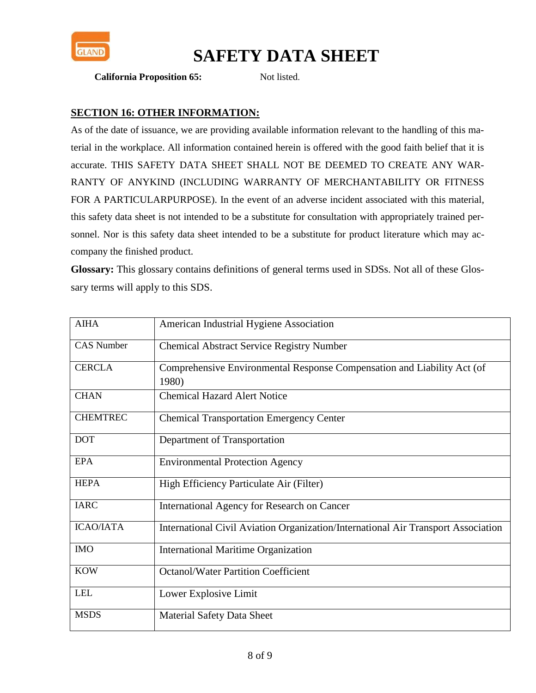

#### **California Proposition 65:** Not listed.

### **SECTION 16: OTHER INFORMATION:**

As of the date of issuance, we are providing available information relevant to the handling of this material in the workplace. All information contained herein is offered with the good faith belief that it is accurate. THIS SAFETY DATA SHEET SHALL NOT BE DEEMED TO CREATE ANY WAR-RANTY OF ANYKIND (INCLUDING WARRANTY OF MERCHANTABILITY OR FITNESS FOR A PARTICULARPURPOSE). In the event of an adverse incident associated with this material, this safety data sheet is not intended to be a substitute for consultation with appropriately trained personnel. Nor is this safety data sheet intended to be a substitute for product literature which may accompany the finished product.

**Glossary:** This glossary contains definitions of general terms used in SDSs. Not all of these Glossary terms will apply to this SDS.

| <b>AIHA</b>       | American Industrial Hygiene Association                                           |
|-------------------|-----------------------------------------------------------------------------------|
| <b>CAS Number</b> | <b>Chemical Abstract Service Registry Number</b>                                  |
| <b>CERCLA</b>     | Comprehensive Environmental Response Compensation and Liability Act (of<br>1980)  |
| <b>CHAN</b>       | <b>Chemical Hazard Alert Notice</b>                                               |
| <b>CHEMTREC</b>   | <b>Chemical Transportation Emergency Center</b>                                   |
| <b>DOT</b>        | Department of Transportation                                                      |
| <b>EPA</b>        | <b>Environmental Protection Agency</b>                                            |
| <b>HEPA</b>       | High Efficiency Particulate Air (Filter)                                          |
| <b>IARC</b>       | International Agency for Research on Cancer                                       |
| <b>ICAO/IATA</b>  | International Civil Aviation Organization/International Air Transport Association |
| <b>IMO</b>        | <b>International Maritime Organization</b>                                        |
| <b>KOW</b>        | <b>Octanol/Water Partition Coefficient</b>                                        |
| <b>LEL</b>        | Lower Explosive Limit                                                             |
| <b>MSDS</b>       | <b>Material Safety Data Sheet</b>                                                 |